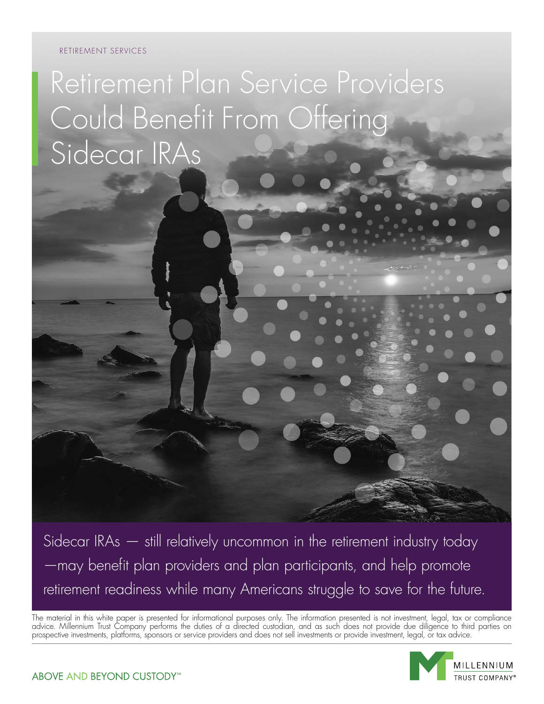#### RETIREMENT SERVICES

Retirement Plan Service Providers Could Benefit From Offering Sidecar IRAs

Sidecar IRAs — still relatively uncommon in the retirement industry today —may benefit plan providers and plan participants, and help promote retirement readiness while many Americans struggle to save for the future.

The material in this white paper is presented for informational purposes only. The information presented is not investment, legal, tax or compliance advice. Millennium Trust Company performs the duties of a directed custodian, and as such does not provide due diligence to third parties on prospective investments, platforms, sponsors or service providers and does not sell investments or provide investment, legal, or tax advice.

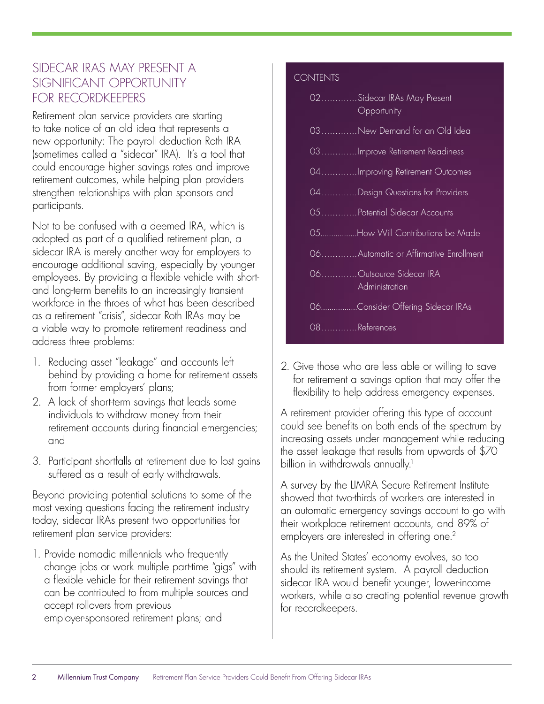### SIDECAR IRAS MAY PRESENT A SIGNIFICANT OPPORTUNITY FOR RECORDKEEPERS

Retirement plan service providers are starting to take notice of an old idea that represents a new opportunity: The payroll deduction Roth IRA (sometimes called a "sidecar" IRA). It's a tool that could encourage higher savings rates and improve retirement outcomes, while helping plan providers strengthen relationships with plan sponsors and participants.

Not to be confused with a deemed IRA, which is adopted as part of a qualified retirement plan, a sidecar IRA is merely another way for employers to encourage additional saving, especially by younger employees. By providing a flexible vehicle with shortand long-term benefits to an increasingly transient workforce in the throes of what has been described as a retirement "crisis", sidecar Roth IRAs may be a viable way to promote retirement readiness and address three problems:

- 1. Reducing asset "leakage" and accounts left behind by providing a home for retirement assets from former employers' plans;
- 2. A lack of short-term savings that leads some individuals to withdraw money from their retirement accounts during financial emergencies; and
- 3. Participant shortfalls at retirement due to lost gains suffered as a result of early withdrawals.

Beyond providing potential solutions to some of the most vexing questions facing the retirement industry today, sidecar IRAs present two opportunities for retirement plan service providers:

1. Provide nomadic millennials who frequently change jobs or work multiple part-time "gigs" with a flexible vehicle for their retirement savings that can be contributed to from multiple sources and accept rollovers from previous employer-sponsored retirement plans; and

#### **CONTENTS**

|               | 02Sidecar IRAs May Present<br>Opportunity |
|---------------|-------------------------------------------|
|               | 03New Demand for an Old Idea              |
|               | 03 Improve Retirement Readiness           |
|               | 04Improving Retirement Outcomes           |
|               | 04Design Questions for Providers          |
|               | 05 Potential Sidecar Accounts             |
|               | 05How Will Contributions be Made          |
|               | 06 Automatic or Affirmative Enrollment    |
|               | 06Outsource Sidecar IRA<br>Administration |
|               | 06Consider Offering Sidecar IRAs          |
| 08 References |                                           |
|               |                                           |

2. Give those who are less able or willing to save for retirement a savings option that may offer the flexibility to help address emergency expenses.

A retirement provider offering this type of account could see benefits on both ends of the spectrum by increasing assets under management while reducing the asset leakage that results from upwards of \$70 billion in withdrawals annually.<sup>1</sup>

A survey by the LIMRA Secure Retirement Institute showed that two-thirds of workers are interested in an automatic emergency savings account to go with their workplace retirement accounts, and 89% of employers are interested in offering one.<sup>2</sup>

As the United States' economy evolves, so too should its retirement system. A payroll deduction sidecar IRA would benefit younger, lower-income workers, while also creating potential revenue growth for recordkeepers.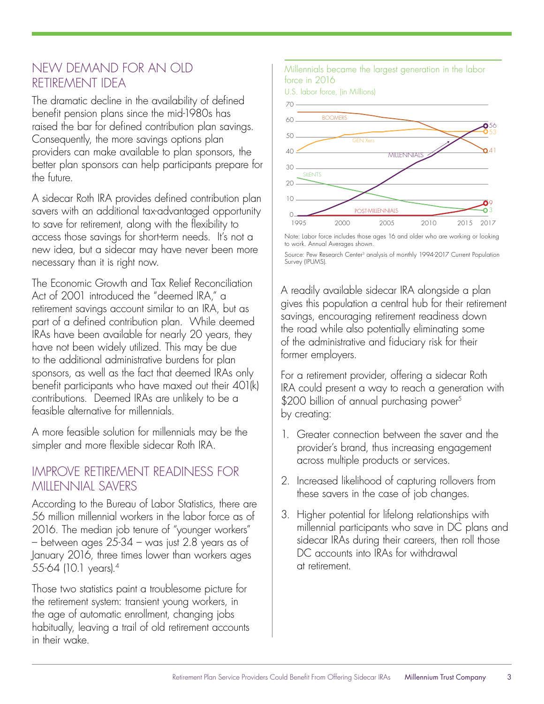### NEW DEMAND FOR AN OLD RETIREMENT IDEA

The dramatic decline in the availability of defined benefit pension plans since the mid-1980s has raised the bar for defined contribution plan savings. Consequently, the more savings options plan providers can make available to plan sponsors, the better plan sponsors can help participants prepare for the future.

A sidecar Roth IRA provides defined contribution plan savers with an additional tax-advantaged opportunity to save for retirement, along with the flexibility to access those savings for short-term needs. It's not a new idea, but a sidecar may have never been more necessary than it is right now.

The Economic Growth and Tax Relief Reconciliation Act of 2001 introduced the "deemed IRA," a retirement savings account similar to an IRA, but as part of a defined contribution plan. While deemed IRAs have been available for nearly 20 years, they have not been widely utilized. This may be due to the additional administrative burdens for plan sponsors, as well as the fact that deemed IRAs only benefit participants who have maxed out their 401(k) contributions. Deemed IRAs are unlikely to be a feasible alternative for millennials.

A more feasible solution for millennials may be the simpler and more flexible sidecar Roth IRA.

### IMPROVE RETIREMENT READINESS FOR MILLENNIAL SAVERS

According to the Bureau of Labor Statistics, there are 56 million millennial workers in the labor force as of 2016. The median job tenure of "younger workers" – between ages 25-34 – was just 2.8 years as of January 2016, three times lower than workers ages 55-64 (10.1 years).4

Those two statistics paint a troublesome picture for the retirement system: transient young workers, in the age of automatic enrollment, changing jobs habitually, leaving a trail of old retirement accounts in their wake.

Millennials became the largest generation in the labor force in 2016

U.S. labor force, (in Millions)



Note: Labor force includes those ages 16 and older who are working or looking to work. Annual Averages shown.

Source: Pew Research Center<sup>3</sup> analysis of monthly 1994-2017 Current Population Survey (IPUMS).

A readily available sidecar IRA alongside a plan gives this population a central hub for their retirement savings, encouraging retirement readiness down the road while also potentially eliminating some of the administrative and fiduciary risk for their former employers.

For a retirement provider, offering a sidecar Roth IRA could present a way to reach a generation with \$200 billion of annual purchasing power<sup>5</sup> by creating:

- 1. Greater connection between the saver and the provider's brand, thus increasing engagement across multiple products or services.
- 2. Increased likelihood of capturing rollovers from these savers in the case of job changes.
- 3. Higher potential for lifelong relationships with millennial participants who save in DC plans and sidecar IRAs during their careers, then roll those DC accounts into IRAs for withdrawal at retirement.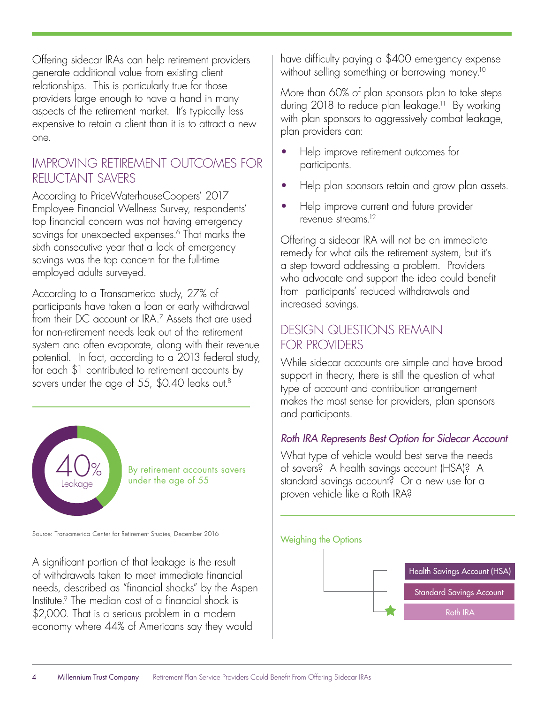Offering sidecar IRAs can help retirement providers generate additional value from existing client relationships. This is particularly true for those providers large enough to have a hand in many aspects of the retirement market. It's typically less expensive to retain a client than it is to attract a new one.

### IMPROVING RETIREMENT OUTCOMES FOR RELUCTANT SAVERS

According to PriceWaterhouseCoopers' 2017 Employee Financial Wellness Survey, respondents' top financial concern was not having emergency savings for unexpected expenses.<sup>6</sup> That marks the sixth consecutive year that a lack of emergency savings was the top concern for the full-time employed adults surveyed.

According to a Transamerica study, 27% of participants have taken a loan or early withdrawal from their DC account or IRA.7 Assets that are used for non-retirement needs leak out of the retirement system and often evaporate, along with their revenue potential. In fact, according to a 2013 federal study, for each \$1 contributed to retirement accounts by savers under the age of 55, \$0.40 leaks out.<sup>8</sup>



By retirement accounts savers under the age of 55

Source: Transamerica Center for Retirement Studies, December 2016 Weighing the Options

A significant portion of that leakage is the result of withdrawals taken to meet immediate financial needs, described as "financial shocks" by the Aspen Institute.9 The median cost of a financial shock is \$2,000. That is a serious problem in a modern economy where 44% of Americans say they would

have difficulty paying a \$400 emergency expense without selling something or borrowing money.<sup>10</sup>

More than 60% of plan sponsors plan to take steps during 2018 to reduce plan leakage.<sup>11</sup> By working with plan sponsors to aggressively combat leakage, plan providers can:

- Help improve retirement outcomes for participants.
- Help plan sponsors retain and grow plan assets.
- Help improve current and future provider revenue streams<sup>12</sup>

Offering a sidecar IRA will not be an immediate remedy for what ails the retirement system, but it's a step toward addressing a problem. Providers who advocate and support the idea could benefit from participants' reduced withdrawals and increased savings.

# DESIGN QUESTIONS REMAIN FOR PROVIDERS

While sidecar accounts are simple and have broad support in theory, there is still the question of what type of account and contribution arrangement makes the most sense for providers, plan sponsors and participants.

### *Roth IRA Represents Best Option for Sidecar Account*

What type of vehicle would best serve the needs of savers? A health savings account (HSA)? A standard savings account? Or a new use for a proven vehicle like a Roth IRA?

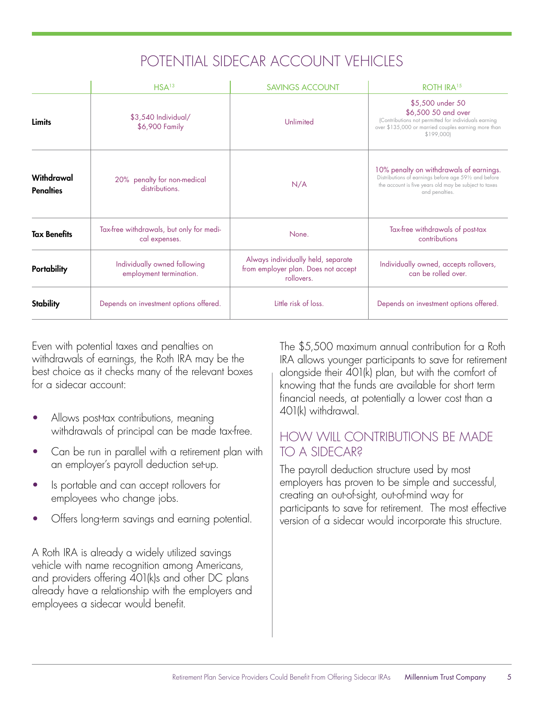# POTENTIAL SIDECAR ACCOUNT VEHICLES

|                                | HSA <sup>13</sup>                                         | <b>SAVINGS ACCOUNT</b>                                                                  | ROTH IRA <sup>15</sup>                                                                                                                                                      |
|--------------------------------|-----------------------------------------------------------|-----------------------------------------------------------------------------------------|-----------------------------------------------------------------------------------------------------------------------------------------------------------------------------|
| <b>Limits</b>                  | \$3,540 Individual/<br>\$6,900 Family                     | Unlimited                                                                               | \$5,500 under 50<br>\$6,500 50 and over<br>(Contributions not permitted for individuals earning<br>over \$135,000 or married couples earning more than<br>\$199,000         |
| Withdrawal<br><b>Penalties</b> | 20% penalty for non-medical<br>distributions.             | N/A                                                                                     | 10% penalty on withdrawals of earnings.<br>Distributions of earnings before age 591/2 and before<br>the account is five years old may be subject to taxes<br>and penalties. |
| <b>Tax Benefits</b>            | Tax-free withdrawals, but only for medi-<br>cal expenses. | None.                                                                                   | Tax-free withdrawals of post-tax<br>contributions                                                                                                                           |
| Portability                    | Individually owned following<br>employment termination.   | Always individually held, separate<br>from employer plan. Does not accept<br>rollovers. | Individually owned, accepts rollovers,<br>can be rolled over.                                                                                                               |
| <b>Stability</b>               | Depends on investment options offered.                    | Little risk of loss.                                                                    | Depends on investment options offered.                                                                                                                                      |

Even with potential taxes and penalties on withdrawals of earnings, the Roth IRA may be the best choice as it checks many of the relevant boxes for a sidecar account:

- Allows post-tax contributions, meaning withdrawals of principal can be made tax-free.
- Can be run in parallel with a retirement plan with an employer's payroll deduction set-up.
- Is portable and can accept rollovers for employees who change jobs.
- Offers long-term savings and earning potential.

A Roth IRA is already a widely utilized savings vehicle with name recognition among Americans, and providers offering 401(k)s and other DC plans already have a relationship with the employers and employees a sidecar would benefit.

The \$5,500 maximum annual contribution for a Roth IRA allows younger participants to save for retirement alongside their 401(k) plan, but with the comfort of knowing that the funds are available for short term financial needs, at potentially a lower cost than a 401(k) withdrawal.

# HOW WILL CONTRIBUTIONS BE MADE TO A SIDECAR?

The payroll deduction structure used by most employers has proven to be simple and successful, creating an out-of-sight, out-of-mind way for participants to save for retirement. The most effective version of a sidecar would incorporate this structure.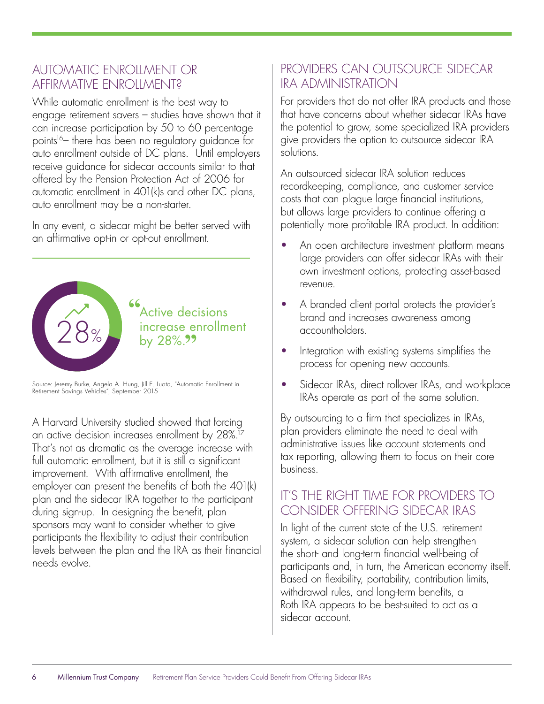## AUTOMATIC ENROLLMENT OR AFFIRMATIVE ENROLLMENT?

While automatic enrollment is the best way to engage retirement savers – studies have shown that it can increase participation by 50 to 60 percentage points<sup>16</sup> there has been no regulatory guidance for auto enrollment outside of DC plans. Until employers receive guidance for sidecar accounts similar to that offered by the Pension Protection Act of 2006 for automatic enrollment in 401(k)s and other DC plans, auto enrollment may be a non-starter.

In any event, a sidecar might be better served with an affirmative opt-in or opt-out enrollment.



Source: Jeremy Burke, Angela A. Hung, Jill E. Luoto, "Automatic Enrollment in Retirement Savings Vehicles", September 2015

A Harvard University studied showed that forcing an active decision increases enrollment by 28%.17 That's not as dramatic as the average increase with full automatic enrollment, but it is still a significant improvement. With affirmative enrollment, the employer can present the benefits of both the 401(k) plan and the sidecar IRA together to the participant during sign-up. In designing the benefit, plan sponsors may want to consider whether to give participants the flexibility to adjust their contribution levels between the plan and the IRA as their financial needs evolve.

# PROVIDERS CAN OUTSOURCE SIDECAR IRA ADMINISTRATION

For providers that do not offer IRA products and those that have concerns about whether sidecar IRAs have the potential to grow, some specialized IRA providers give providers the option to outsource sidecar IRA solutions.

An outsourced sidecar IRA solution reduces recordkeeping, compliance, and customer service costs that can plague large financial institutions, but allows large providers to continue offering a potentially more profitable IRA product. In addition:

- An open architecture investment platform means large providers can offer sidecar IRAs with their own investment options, protecting asset-based revenue.
- A branded client portal protects the provider's brand and increases awareness among accountholders.
- Integration with existing systems simplifies the process for opening new accounts.
- Sidecar IRAs, direct rollover IRAs, and workplace IRAs operate as part of the same solution.

By outsourcing to a firm that specializes in IRAs, plan providers eliminate the need to deal with administrative issues like account statements and tax reporting, allowing them to focus on their core business.

# IT'S THE RIGHT TIME FOR PROVIDERS TO CONSIDER OFFERING SIDECAR IRAS

In light of the current state of the U.S. retirement system, a sidecar solution can help strengthen the short- and long-term financial well-being of participants and, in turn, the American economy itself. Based on flexibility, portability, contribution limits, withdrawal rules, and long-term benefits, a Roth IRA appears to be best-suited to act as a sidecar account.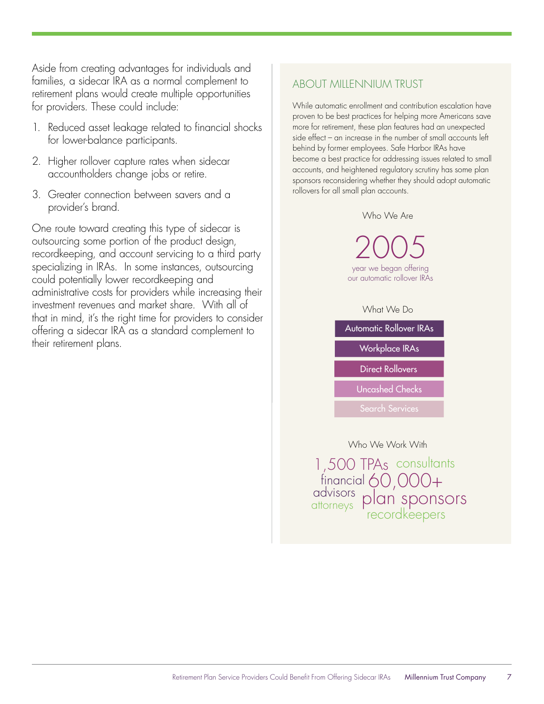Aside from creating advantages for individuals and families, a sidecar IRA as a normal complement to retirement plans would create multiple opportunities for providers. These could include:

- 1. Reduced asset leakage related to financial shocks for lower-balance participants.
- 2. Higher rollover capture rates when sidecar accountholders change jobs or retire.
- 3. Greater connection between savers and a provider's brand.

One route toward creating this type of sidecar is outsourcing some portion of the product design, recordkeeping, and account servicing to a third party specializing in IRAs. In some instances, outsourcing could potentially lower recordkeeping and administrative costs for providers while increasing their investment revenues and market share. With all of that in mind, it's the right time for providers to consider offering a sidecar IRA as a standard complement to their retirement plans.

#### ABOUT MILLENNIUM TRUST

While automatic enrollment and contribution escalation have proven to be best practices for helping more Americans save more for retirement, these plan features had an unexpected side effect – an increase in the number of small accounts left behind by former employees. Safe Harbor IRAs have become a best practice for addressing issues related to small accounts, and heightened regulatory scrutiny has some plan sponsors reconsidering whether they should adopt automatic rollovers for all small plan accounts.

#### Who We Are

2005 year we began offering our automatic rollover IRAs

#### What We Do

Automatic Rollover IRAs Workplace IRAs Uncashed Checks Direct Rollovers

Search Services

#### Who We Work With

<sup>icial</sup> 60,000+<br>"<sup>s</sup> plan sponsors  $\frac{1}{100}$  financial 60,000+ advisors 1,500 TPAs consultants attorneys prum spons<br>recordkeepers